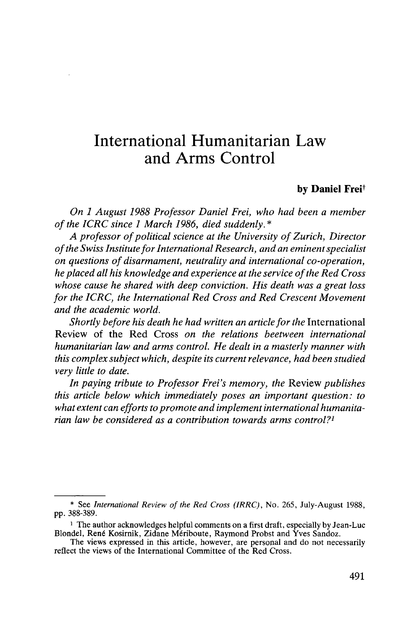# International Humanitarian Law and Arms Control

## by Daniel Frei<sup>†</sup>

*On 1 August 1988 Professor Daniel Frei, who had been a member of the ICRC since 1 March 1986, died suddenly. \**

*A professor of political science at the University of Zurich, Director of the Swiss Institute for International Research, and an eminent specialist on questions of disarmament, neutrality and international co-operation, he placed all his knowledge and experience at the service of the Red Cross whose cause he shared with deep conviction. His death was a great loss for the ICRC, the International Red Cross and Red Crescent Movement and the academic world.*

*Shortly before his death he had written an article for the* International Review of the Red Cross *on the relations beetween international humanitarian law and arms control. He dealt in a masterly manner with this complex subject which, despite its current relevance, had been studied very little to date.*

*In paying tribute to Professor Frei's memory, the* Review *publishes this article below which immediately poses an important question: to what extent can efforts to promote and implement international humanitarian law be considered as a contribution towards arms control?<sup>1</sup>*

*<sup>\*</sup>* See *International Review of the Red Cross (IRRC),* No. 265, July-August 1988, pp. 388-389.

<sup>&</sup>lt;sup>1</sup> The author acknowledges helpful comments on a first draft, especially by Jean-Luc Blondel, René Kosirnik, Zidane Mériboute, Raymond Probst and Yves Sandoz.<br>The views expressed in this article, however, are personal and do not necessarily

reflect the views of the International Committee of the Red Cross.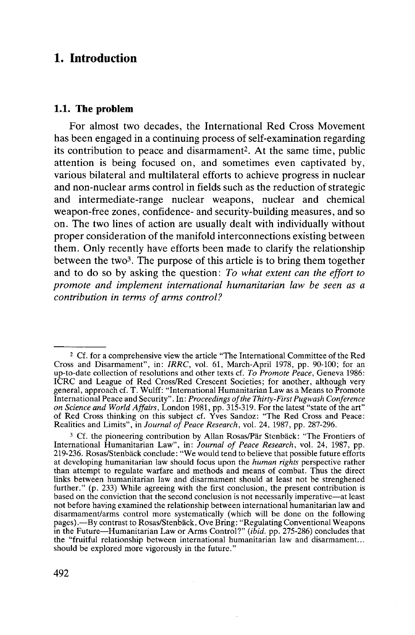# **1. Introduction**

#### **1.1. The problem**

For almost two decades, the International Red Cross Movement has been engaged in a continuing process of self-examination regarding its contribution to peace and disarmament<sup>2</sup>. At the same time, public attention is being focused on, and sometimes even captivated by, various bilateral and multilateral efforts to achieve progress in nuclear and non-nuclear arms control in fields such as the reduction of strategic and intermediate-range nuclear weapons, nuclear and chemical weapon-free zones, confidence- and security-building measures, and so on. The two lines of action are usually dealt with individually without proper consideration of the manifold interconnections existing between them. Only recently have efforts been made to clarify the relationship between the two<sup>3</sup>. The purpose of this article is to bring them together and to do so by asking the question: *To what extent can the effort to promote and implement international humanitarian law be seen as a contribution in terms of arms control?*

<sup>&</sup>lt;sup>2</sup> Cf. for a comprehensive view the article "The International Committee of the Red Cross and Disarmament", in: IRRC, vol. 61, March-April 1978, pp. 90-100; for an up-to-date collection of resolutions and other texts cf. To Promote Peace, Geneva 1986:<br>ICRC and League of Red Cross/Red Crescent Societies; f up-to-date confection of resolutions and other texts cf. To Fromote Tetter, Geneva 1960.<br>ICRC and League of Red Cross/Red Crescent Societies; for another, although very<br>general, approach of. T. Wulff: "International Humani

<sup>&</sup>lt;sup>3</sup> Cf. the pioneering contribution by Allan Rosas/Pär Stenbäck: "The Frontiers of International Humanitarian Law", in: Journal of Peace Research, vol. 24, 1987, pp.<br>219-236. Rosas/Stenbäck conclude: "We would tend to believe that possible future efforts<br>at developing humanitarian law should focus upon t links between humanitarian law and disarmament should at least not be strenghened further." (p. 233) While agreeing with the first conclusion, the present contribution is based on the conviction that the second conclusion is not necessarily imperative—at least<br>not before having examined the relationship between international humanitarian law and disarmament/arms control more systematically (which will be done on the following pages).—By contrast to Rosas/Stenbäck, Ove Bring: "Regulating Conventional Weapons<br>in the Future—Humanitarian Law or Arms Control?" *(ibid.* pp. 275-286) concludes that the "fruitful relationship between international humanitarian law and disarmament... should be explored more vigorously in the future."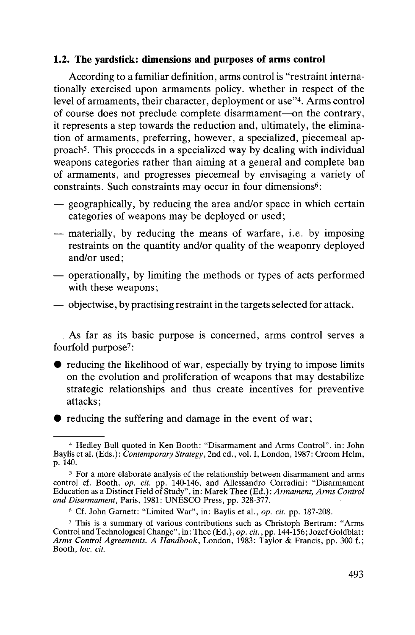#### **1.2. The yardstick: dimensions and purposes of arms control**

According to a familiar definition, arms control is "restraint internationally exercised upon armaments policy, whether in respect of the level of armaments, their character, deployment or use"<sup>4</sup> . Arms control of course does not preclude complete disarmament—on the contrary, it represents a step towards the reduction and, ultimately, the elimination of armaments, preferring, however, a specialized, piecemeal approach<sup>5</sup>. This proceeds in a specialized way by dealing with individual weapons categories rather than aiming at a general and complete ban of armaments, and progresses piecemeal by envisaging a variety of constraints. Such constraints may occur in four dimensions<sup>6</sup>:

- geographically, by reducing the area and/or space in which certain categories of weapons may be deployed or used;
- materially, by reducing the means of warfare, i.e. by imposing restraints on the quantity and/or quality of the weaponry deployed and/or used;
- operationally, by limiting the methods or types of acts performed with these weapons;
- objectwise, by practising restraint in the targets selected for attack.

As far as its basic purpose is concerned, arms control serves a fourfold purpose<sup>7</sup>:

- reducing the likelihood of war, especially by trying to impose limits on the evolution and proliferation of weapons that may destabilize strategic relationships and thus create incentives for preventive attacks;
- $\bullet$  reducing the suffering and damage in the event of war;

<sup>&</sup>lt;sup>4</sup> Hedley Bull quoted in Ken Booth: "Disarmament and Arms Control", in: John Baylis et al. (Eds.): Contemporary Strategy, 2nd ed., vol. I, London, 1987: Croom Helm, p. 140.

<sup>&</sup>lt;sup>5</sup> For a more elaborate analysis of the relationship between disarmament and arms For a more elaborate analysis of the relationship between disarmament and arms control cf. Booth, *op. cit.* pp. 140-146, and Allessandro Corradini: "Disarmament Education as a Distinct Field of Study", in: Marek Thee (Ed.): *Armament, Arms Control and Disarmament,* Paris, 1981: UNESCO Press, pp. 328-377.

<sup>6</sup> Cf. John Garnett: "Limited War", in: Baylis et al., *op. cit.* pp. 187-208.

<sup>&</sup>lt;sup>7</sup> This is a summary of various contributions such as Christoph Bertram: "Arms" Control and Technological Change", in: Thee (Ed.), op. cit., pp. 144-156; Jozef Goldblat:<br>Arms Control Agreements. A Handbook, London, 1983: Taylor & Francis, pp. 300 f.; Booth, *loc. cit.*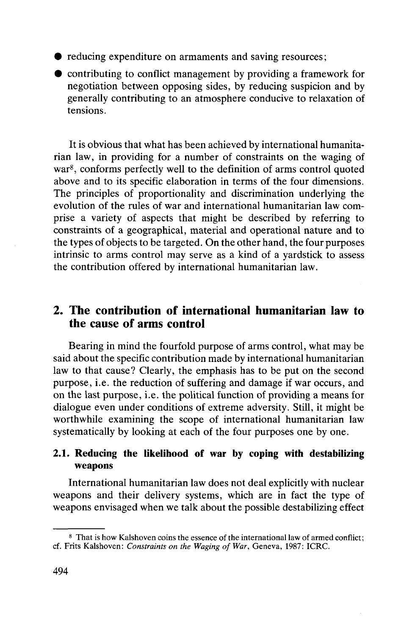- reducing expenditure on armaments and saving resources;
- contributing to conflict management by providing a framework for negotiation between opposing sides, by reducing suspicion and by generally contributing to an atmosphere conducive to relaxation of tensions.

It is obvious that what has been achieved by international humanitarian law, in providing for a number of constraints on the waging of war8 , conforms perfectly well to the definition of arms control quoted above and to its specific elaboration in terms of the four dimensions. The principles of proportionality and discrimination underlying the evolution of the rules of war and international humanitarian law comprise a variety of aspects that might be described by referring to constraints of a geographical, material and operational nature and to the types of objects to be targeted. On the other hand, the four purposes intrinsic to arms control may serve as a kind of a yardstick to assess the contribution offered by international humanitarian law.

# 2. The contribution of international humanitarian law to the cause of arms control

Bearing in mind the fourfold purpose of arms control, what may be said about the specific contribution made by international humanitarian law to that cause? Clearly, the emphasis has to be put on the second purpose, i.e. the reduction of suffering and damage if war occurs, and on the last purpose, i.e. the political function of providing a means for dialogue even under conditions of extreme adversity. Still, it might be worthwhile examining the scope of international humanitarian law systematically by looking at each of the four purposes one by one.

## **2.1. Reducing the likelihood of war by coping with destabilizing weapons**

International humanitarian law does not deal explicitly with nuclear weapons and their delivery systems, which are in fact the type of weapons envisaged when we talk about the possible destabilizing effect

<sup>&</sup>lt;sup>8</sup> That is how Kalshoven coins the essence of the international law of armed conflict; cf. Frits Kalshoven: *Constraints on the Waging of War,* Geneva, 1987: ICRC.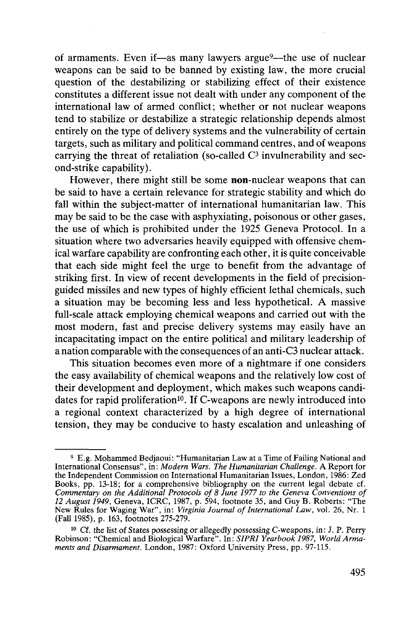of armaments. Even if—as many lawyers argue<sup>9</sup>—the use of nuclear weapons can be said to be banned by existing law, the more crucial question of the destabilizing or stabilizing effect of their existence constitutes a different issue not dealt with under any component of the international law of armed conflict; whether or not nuclear weapons tend to stabilize or destabilize a strategic relationship depends almost entirely on the type of delivery systems and the vulnerability of certain targets, such as military and political command centres, and of weapons carrying the threat of retaliation (so-called  $C<sup>3</sup>$  invulnerability and second-strike capability).

However, there might still be some non-nuclear weapons that can be said to have a certain relevance for strategic stability and which do fall within the subject-matter of international humanitarian law. This may be said to be the case with asphyxiating, poisonous or other gases, the use of which is prohibited under the 1925 Geneva Protocol. In a situation where two adversaries heavily equipped with offensive chemical warfare capability are confronting each other, it is quite conceivable that each side might feel the urge to benefit from the advantage of striking first. In view of recent developments in the field of precisionguided missiles and new types of highly efficient lethal chemicals, such a situation may be becoming less and less hypothetical. A massive full-scale attack employing chemical weapons and carried out with the most modern, fast and precise delivery systems may easily have an incapacitating impact on the entire political and military leadership of a nation comparable with the consequences of an anti-C3 nuclear attack.

This situation becomes even more of a nightmare if one considers the easy availability of chemical weapons and the relatively low cost of their development and deployment, which makes such weapons candidates for rapid proliferation<sup>10</sup>. If C-weapons are newly introduced into a regional context characterized by a high degree of international tension, they may be conducive to hasty escalation and unleashing of

<sup>9</sup> E.g. Mohammed Bedjaoui: "Humanitarian Law at a Time of Failing National and International Consensus", in: *Modern Wars. The Humanitarian Challenge. A* Report for the Independent Commission on International Humanitarian Issues, London, 1986: Zed Books, pp. 13-18; for a comprehensive bibliography on the current legal debate cf. *Commentary on the Additional Protocols of 8 June 1977 to the Geneva Conventions of 12 August 1949, Geneva, ICRC, 1987, p. 594, footnote 35, and Guy B. Roberts: "The New Rules for Waging War", in: <i>Virginia Journal of International Law, vol. 26, Nr. 1* (Fall 1985), p. 163, footnotes 275-279.

<sup>&</sup>lt;sup>10</sup> Cf. the list of States possessing or allegedly possessing C-weapons, in: J. P. Perry Robinson: "Chemical and Biological Warfare". In: *SIPRI Yearbook 1987, World Armaments and Disarmament.* London, 1987: Oxford University Press, pp. 97-115.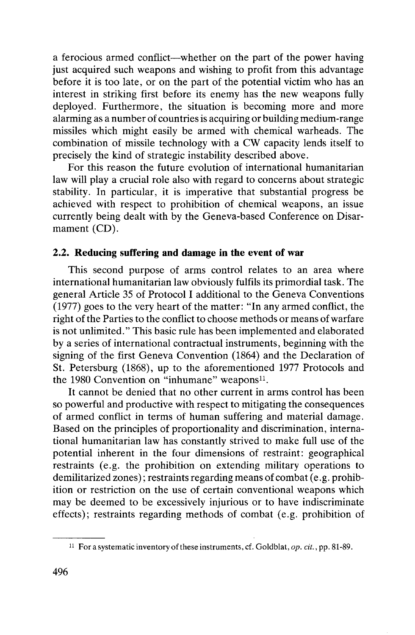a ferocious armed conflict—whether on the part of the power having just acquired such weapons and wishing to profit from this advantage before it is too late, or on the part of the potential victim who has an interest in striking first before its enemy has the new weapons fully deployed. Furthermore, the situation is becoming more and more alarming as a number of countries is acquiring or building medium-range missiles which might easily be armed with chemical warheads. The combination of missile technology with a CW capacity lends itself to precisely the kind of strategic instability described above.

For this reason the future evolution of international humanitarian law will play a crucial role also with regard to concerns about strategic stability. In particular, it is imperative that substantial progress be achieved with respect to prohibition of chemical weapons, an issue currently being dealt with by the Geneva-based Conference on Disarmament (CD).

### **2.2. Reducing suffering and damage in the event of war**

This second purpose of arms control relates to an area where international humanitarian law obviously fulfils its primordial task. The general Article 35 of Protocol I additional to the Geneva Conventions (1977) goes to the very heart of the matter: "In any armed conflict, the right of the Parties to the conflict to choose methods or means of warfare is not unlimited." This basic rule has been implemented and elaborated by a series of international contractual instruments, beginning with the signing of the first Geneva Convention (1864) and the Declaration of St. Petersburg (1868), up to the aforementioned 1977 Protocols and the 1980 Convention on "inhumane" weapons $11$ .

It cannot be denied that no other current in arms control has been so powerful and productive with respect to mitigating the consequences of armed conflict in terms of human suffering and material damage. Based on the principles of proportionality and discrimination, international humanitarian law has constantly strived to make full use of the potential inherent in the four dimensions of restraint: geographical restraints (e.g. the prohibition on extending military operations to demilitarized zones); restraints regarding means of combat (e.g. prohibition or restriction on the use of certain conventional weapons which may be deemed to be excessively injurious or to have indiscriminate effects); restraints regarding methods of combat (e.g. prohibition of

<sup>&</sup>lt;sup>11</sup> For a systematic inventory of these instruments, cf. Goldblat, *op. cit.*, pp. 81-89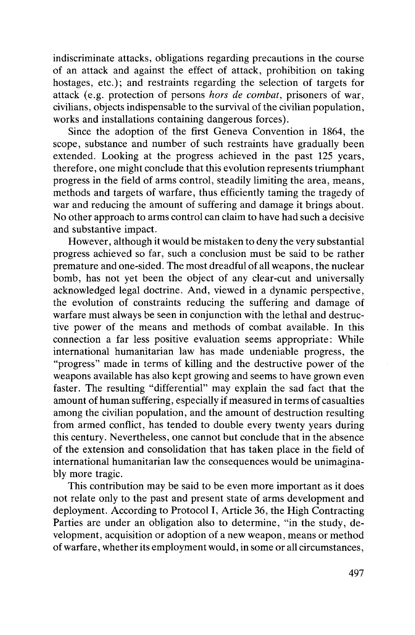indiscriminate attacks, obligations regarding precautions in the course of an attack and against the effect of attack, prohibition on taking hostages, etc.); and restraints regarding the selection of targets for attack (e.g. protection of persons *hors de combat,* prisoners of war, civilians, objects indispensable to the survival of the civilian population, works and installations containing dangerous forces).

Since the adoption of the first Geneva Convention in 1864, the scope, substance and number of such restraints have gradually been extended. Looking at the progress achieved in the past 125 years, therefore, one might conclude that this evolution represents triumphant progress in the field of arms control, steadily limiting the area, means, methods and targets of warfare, thus efficiently taming the tragedy of war and reducing the amount of suffering and damage it brings about. No other approach to arms control can claim to have had such a decisive and substantive impact.

However, although it would be mistaken to deny the very substantial progress achieved so far, such a conclusion must be said to be rather premature and one-sided. The most dreadful of all weapons, the nuclear bomb, has not yet been the object of any clear-cut and universally acknowledged legal doctrine. And, viewed in a dynamic perspective, the evolution of constraints reducing the suffering and damage of warfare must always be seen in conjunction with the lethal and destructive power of the means and methods of combat available. In this connection a far less positive evaluation seems appropriate: While international humanitarian law has made undeniable progress, the "progress" made in terms of killing and the destructive power of the weapons available has also kept growing and seems to have grown even faster. The resulting "differential" may explain the sad fact that the amount of human suffering, especially if measured in terms of casualties among the civilian population, and the amount of destruction resulting from armed conflict, has tended to double every twenty years during this century. Nevertheless, one cannot but conclude that in the absence of the extension and consolidation that has taken place in the field of international humanitarian law the consequences would be unimaginably more tragic.

This contribution may be said to be even more important as it does not relate only to the past and present state of arms development and deployment. According to Protocol I, Article 36, the High Contracting Parties are under an obligation also to determine, "in the study, development, acquisition or adoption of a new weapon, means or method of warfare, whether its employment would, in some or all circumstances,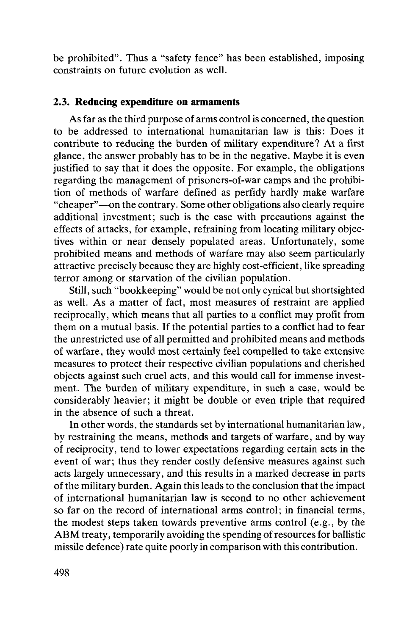be prohibited". Thus a "safety fence" has been established, imposing constraints on future evolution as well.

#### **2.3. Reducing expenditure on armaments**

As far as the third purpose of arms control is concerned, the question to be addressed to international humanitarian law is this: Does it contribute to reducing the burden of military expenditure? At a first glance, the answer probably has to be in the negative. Maybe it is even justified to say that it does the opposite. For example, the obligations regarding the management of prisoners-of-war camps and the prohibition of methods of warfare defined as perfidy hardly make warfare "cheaper"—on the contrary. Some other obligations also clearly require additional investment; such is the case with precautions against the effects of attacks, for example, refraining from locating military objectives within or near densely populated areas. Unfortunately, some prohibited means and methods of warfare may also seem particularly attractive precisely because they are highly cost-efficient, like spreading terror among or starvation of the civilian population.

Still, such "bookkeeping" would be not only cynical but shortsighted as well. As a matter of fact, most measures of restraint are applied reciprocally, which means that all parties to a conflict may profit from them on a mutual basis. If the potential parties to a conflict had to fear the unrestricted use of all permitted and prohibited means and methods of warfare, they would most certainly feel compelled to take extensive measures to protect their respective civilian populations and cherished objects against such cruel acts, and this would call for immense investment. The burden of military expenditure, in such a case, would be considerably heavier; it might be double or even triple that required in the absence of such a threat.

In other words, the standards set by international humanitarian law, by restraining the means, methods and targets of warfare, and by way of reciprocity, tend to lower expectations regarding certain acts in the event of war; thus they render costly defensive measures against such acts largely unnecessary, and this results in a marked decrease in parts of the military burden. Again this leads to the conclusion that the impact of international humanitarian law is second to no other achievement so far on the record of international arms control; in financial terms, the modest steps taken towards preventive arms control (e.g., by the ABM treaty, temporarily avoiding the spending of resources for ballistic missile defence) rate quite poorly in comparison with this contribution.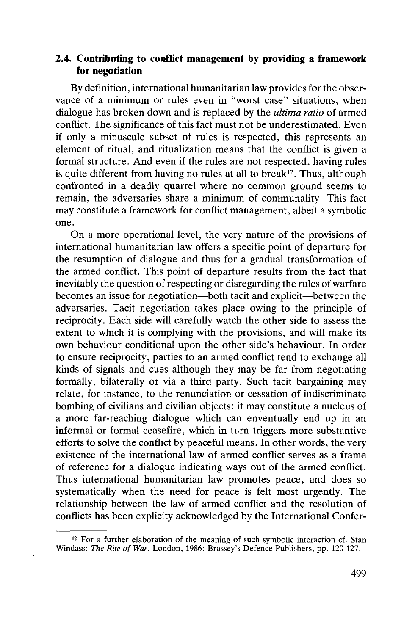#### **2.4. Contributing to conflict management by providing a framework for negotiation**

By definition, international humanitarian law provides for the observance of a minimum or rules even in "worst case" situations, when dialogue has broken down and is replaced by the *ultima ratio* of armed conflict. The significance of this fact must not be underestimated. Even if only a minuscule subset of rules is respected, this represents an element of ritual, and ritualization means that the conflict is given a formal structure. And even if the rules are not respected, having rules is quite different from having no rules at all to break<sup>12</sup>. Thus, although confronted in a deadly quarrel where no common ground seems to remain, the adversaries share a minimum of communality. This fact may constitute a framework for conflict management, albeit a symbolic one.

On a more operational level, the very nature of the provisions of international humanitarian law offers a specific point of departure for the resumption of dialogue and thus for a gradual transformation of the armed conflict. This point of departure results from the fact that inevitably the question of respecting or disregarding the rules of warfare becomes an issue for negotiation—both tacit and explicit—between the adversaries. Tacit negotiation takes place owing to the principle of reciprocity. Each side will carefully watch the other side to assess the extent to which it is complying with the provisions, and will make its own behaviour conditional upon the other side's behaviour. In order to ensure reciprocity, parties to an armed conflict tend to exchange all kinds of signals and cues although they may be far from negotiating formally, bilaterally or via a third party. Such tacit bargaining may relate, for instance, to the renunciation or cessation of indiscriminate bombing of civilians and civilian objects: it may constitute a nucleus of a more far-reaching dialogue which can enventually end up in an informal or formal ceasefire, which in turn triggers more substantive efforts to solve the conflict by peaceful means. In other words, the very existence of the international law of armed conflict serves as a frame of reference for a dialogue indicating ways out of the armed conflict. Thus international humanitarian law promotes peace, and does so systematically when the need for peace is felt most urgently. The relationship between the law of armed conflict and the resolution of conflicts has been explicity acknowledged by the International Confer-

<sup>12</sup> For a further elaboration of the meaning of such symbolic interaction cf. Stan Windass: *The Rite of War,* London, 1986: Brassey's Defence Publishers, pp. 120-127.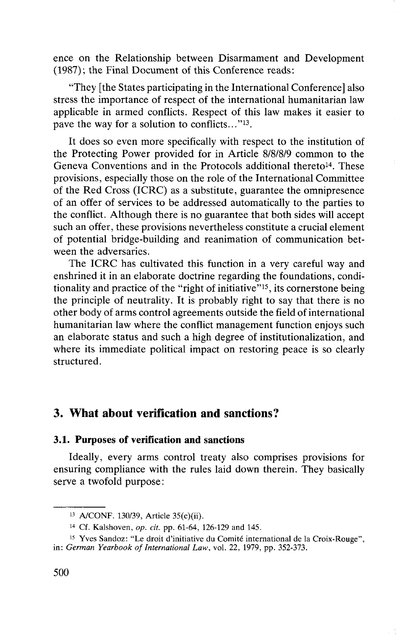ence on the Relationship between Disarmament and Development (1987); the Final Document of this Conference reads:

"They [the States participating in the International Conference] also stress the importance of respect of the international humanitarian law applicable in armed conflicts. Respect of this law makes it easier to pave the way for a solution to conflicts..."13.

It does so even more specifically with respect to the institution of the Protecting Power provided for in Article 8/8/8/9 common to the Geneva Conventions and in the Protocols additional thereto<sup>14</sup>. These provisions, especially those on the role of the International Committee of the Red Cross (ICRC) as a substitute, guarantee the omnipresence of an offer of services to be addressed automatically to the parties to the conflict. Although there is no guarantee that both sides will accept such an offer, these provisions nevertheless constitute a crucial element of potential bridge-building and reanimation of communication between the adversaries.

The ICRC has cultivated this function in a very careful way and enshrined it in an elaborate doctrine regarding the foundations, conditionality and practice of the "right of initiative"<sup>15</sup>, its cornerstone being the principle of neutrality. It is probably right to say that there is no other body of arms control agreements outside the field of international humanitarian law where the conflict management function enjoys such an elaborate status and such a high degree of institutionalization, and where its immediate political impact on restoring peace is so clearly structured.

## 3. What about verification and sanctions?

#### **3.1. Purposes of verification and sanctions**

Ideally, every arms control treaty also comprises provisions for ensuring compliance with the rules laid down therein. They basically serve a twofold purpose:

<sup>13</sup> A/CONF. 130/39, Article 35(c)(ii).

<sup>14</sup> Cf. Kalshoven, *op. cit.* pp. 61-64, 126-129 and 145.

<sup>15</sup> Yves Sandoz: "Le droit d'initiative du Comite international de la Croix-Rouge", *German Yearbook of International Law,* vol. 22, 1979, pp. 352-373.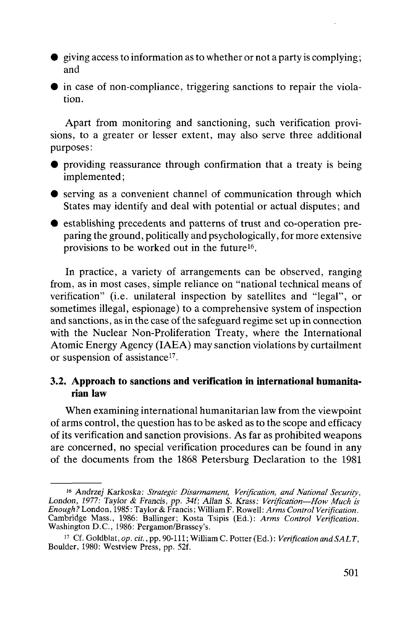- $\bullet$  giving access to information as to whether or not a party is complying; and
- $\bullet$  in case of non-compliance, triggering sanctions to repair the violation.

Apart from monitoring and sanctioning, such verification provisions, to a greater or lesser extent, may also serve three additional purposes:

- providing reassurance through confirmation that a treaty is being implemented;
- serving as a convenient channel of communication through which States may identify and deal with potential or actual disputes; and
- establishing precedents and patterns of trust and co-operation preparing the ground, politically and psychologically, for more extensive provisions to be worked out in the future16.

In practice, a variety of arrangements can be observed, ranging from, as in most cases, simple reliance on "national technical means of verification" (i.e. unilateral inspection by satellites and "legal", or sometimes illegal, espionage) to a comprehensive system of inspection and sanctions, as in the case of the safeguard regime set up in connection with the Nuclear Non-Proliferation Treaty, where the International Atomic Energy Agency (IAEA) may sanction violations by curtailment or suspension of assistance17.

#### **3.2. Approach to sanctions and verification in international humanitarian law**

When examining international humanitarian law from the viewpoint of arms control, the question has to be asked as to the scope and efficacy of its verification and sanction provisions. As far as prohibited weapons are concerned, no special verification procedures can be found in any of the documents from the 1868 Petersburg Declaration to the 1981

*<sup>16</sup> Andrzej Karkoska: Strategic Disarmament, Verification, and National Security, London, 1977: Taylor & Francis, pp. 34f; Allan S. Krass: Verification*—*How Much is Enough?* London, 1985: Taylor & Francis; William F. Rowell: *Arms Control Verification.* Cambridge Mass., 1986: Ballinger; Kosta Tsipis (Ed.): *Arms Control Verification.* Washington D.C., 1986: Pergamon/Brassey's.

<sup>17</sup> Cf. Goldblat, *op. cit.*, pp. 90-111; William C. Potter (Ed.): *Verification and SALT,* Boulder, 1980: Westview Press, pp. 52f.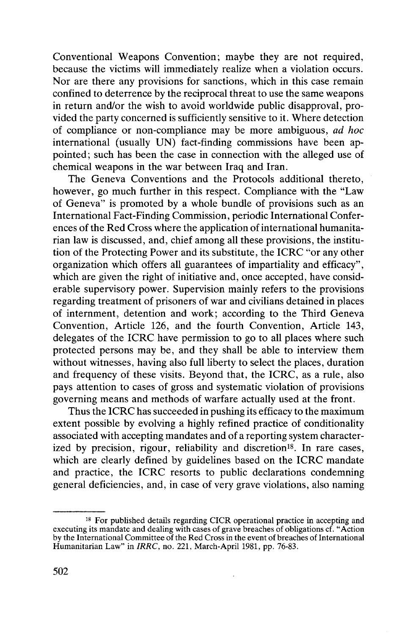Conventional Weapons Convention; maybe they are not required, because the victims will immediately realize when a violation occurs. Nor are there any provisions for sanctions, which in this case remain confined to deterrence by the reciprocal threat to use the same weapons in return and/or the wish to avoid worldwide public disapproval, provided the party concerned is sufficiently sensitive to it. Where detection of compliance or non-compliance may be more ambiguous, *ad hoc* international (usually UN) fact-finding commissions have been appointed; such has been the case in connection with the alleged use of chemical weapons in the war between Iraq and Iran.

The Geneva Conventions and the Protocols additional thereto, however, go much further in this respect. Compliance with the "Law of Geneva" is promoted by a whole bundle of provisions such as an International Fact-Finding Commission, periodic International Conferences of the Red Cross where the application of international humanitarian law is discussed, and, chief among all these provisions, the institution of the Protecting Power and its substitute, the ICRC "or any other organization which offers all guarantees of impartiality and efficacy", which are given the right of initiative and, once accepted, have considerable supervisory power. Supervision mainly refers to the provisions regarding treatment of prisoners of war and civilians detained in places of internment, detention and work; according to the Third Geneva Convention, Article 126, and the fourth Convention, Article 143, delegates of the ICRC have permission to go to all places where such protected persons may be, and they shall be able to interview them without witnesses, having also full liberty to select the places, duration and frequency of these visits. Beyond that, the ICRC, as a rule, also pays attention to cases of gross and systematic violation of provisions governing means and methods of warfare actually used at the front.

Thus the ICRC has succeeded in pushing its efficacy to the maximum extent possible by evolving a highly refined practice of conditionality associated with accepting mandates and of a reporting system characterized by precision, rigour, reliability and discretion<sup>18</sup>. In rare cases, which are clearly defined by guidelines based on the ICRC mandate and practice, the ICRC resorts to public declarations condemning general deficiencies, and, in case of very grave violations, also naming

<sup>&</sup>lt;sup>18</sup> For published details regarding CICR operational practice in accepting and executing its mandate and dealing with cases of grave breaches of obligations cf. "Action by the International Committee of the Red Cross in the event of breaches of International Humanitarian Law" in *IRRC,* no. 221, March-April 1981, pp. 76-83.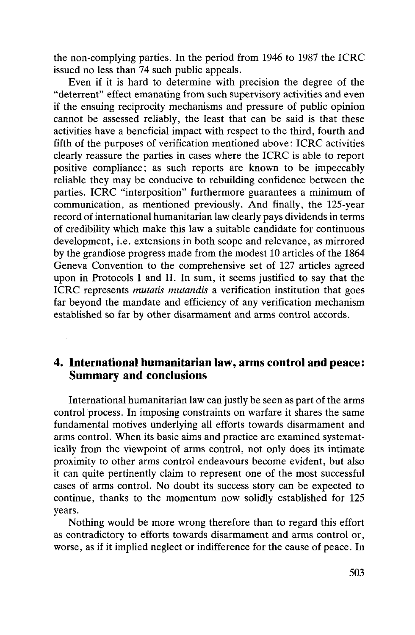the non-complying parties. In the period from 1946 to 1987 the ICRC issued no less than 74 such public appeals.

Even if it is hard to determine with precision the degree of the "deterrent" effect emanating from such supervisory activities and even if the ensuing reciprocity mechanisms and pressure of public opinion cannot be assessed reliably, the least that can be said is that these activities have a beneficial impact with respect to the third, fourth and fifth of the purposes of verification mentioned above: ICRC activities clearly reassure the parties in cases where the ICRC is able to report positive compliance; as such reports are known to be impeccably reliable they may be conducive to rebuilding confidence between the parties. ICRC "interposition" furthermore guarantees a minimum of communication, as mentioned previously. And finally, the 125-year record of international humanitarian law clearly pays dividends in terms of credibility which make this law a suitable candidate for continuous development, i.e. extensions in both scope and relevance, as mirrored by the grandiose progress made from the modest 10 articles of the 1864 Geneva Convention to the comprehensive set of 127 articles agreed upon in Protocols I and II. In sum, it seems justified to say that the ICRC represents *mutatis mutandis* a verification institution that goes far beyond the mandate and efficiency of any verification mechanism established so far by other disarmament and arms control accords.

## **4. International humanitarian law, arms control and peace: Summary and conclusions**

International humanitarian law can justly be seen as part of the arms control process. In imposing constraints on warfare it shares the same fundamental motives underlying all efforts towards disarmament and arms control. When its basic aims and practice are examined systematically from the viewpoint of arms control, not only does its intimate proximity to other arms control endeavours become evident, but also it can quite pertinently claim to represent one of the most successful cases of arms control. No doubt its success story can be expected to continue, thanks to the momentum now solidly established for 125 years.

Nothing would be more wrong therefore than to regard this effort as contradictory to efforts towards disarmament and arms control or, worse, as if it implied neglect or indifference for the cause of peace. In